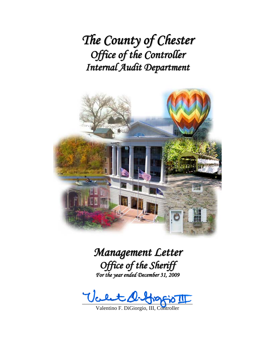*The County of Chester Office of the Controller Internal Audit Department*



# *Management Letter Office of the Sheriff For the year ended December 31, 2009*

Valta D. Grapio III

Valentino F. DiGiorgio, III, Controller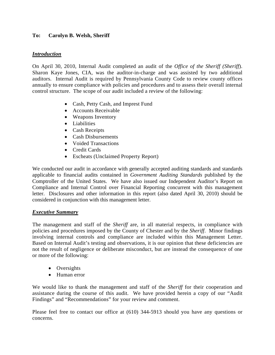# **To: Carolyn B. Welsh, Sheriff**

## *Introduction*

On April 30, 2010, Internal Audit completed an audit of the *Office of the Sheriff (Sheriff*). Sharon Kaye Jones, CIA, was the auditor-in-charge and was assisted by two additional auditors. Internal Audit is required by Pennsylvania County Code to review county offices annually to ensure compliance with policies and procedures and to assess their overall internal control structure. The scope of our audit included a review of the following:

- Cash, Petty Cash, and Imprest Fund
- Accounts Receivable
- Weapons Inventory
- Liabilities
- Cash Receipts
- Cash Disbursements
- Voided Transactions
- Credit Cards
- Escheats (Unclaimed Property Report)

We conducted our audit in accordance with generally accepted auditing standards and standards applicable to financial audits contained in *Government Auditing Standards* published by the Comptroller of the United States. We have also issued our Independent Auditor's Report on Compliance and Internal Control over Financial Reporting concurrent with this management letter. Disclosures and other information in this report (also dated April 30, 2010) should be considered in conjunction with this management letter.

## *Executive Summary*

The management and staff of the *Sheriff* are, in all material respects, in compliance with policies and procedures imposed by the County of Chester and by the *Sheriff*. Minor findings involving internal controls and compliance are included within this Management Letter. Based on Internal Audit's testing and observations, it is our opinion that these deficiencies are not the result of negligence or deliberate misconduct, but are instead the consequence of one or more of the following:

- Oversights
- Human error

We would like to thank the management and staff of the *Sheriff* for their cooperation and assistance during the course of this audit. We have provided herein a copy of our "Audit Findings" and "Recommendations" for your review and comment.

Please feel free to contact our office at (610) 344-5913 should you have any questions or concerns.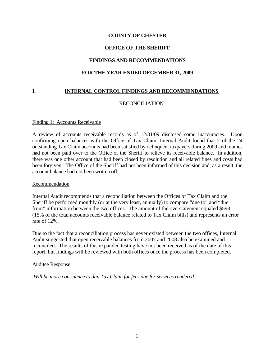# **OFFICE OF THE SHERIFF**

## **FINDINGS AND RECOMMENDATIONS**

## **FOR THE YEAR ENDED DECEMBER 31, 2009**

## **I. INTERNAL CONTROL FINDINGS AND RECOMMENDATIONS**

## RECONCILIATION

## Finding 1: Accounts Receivable

A review of accounts receivable records as of 12/31/09 disclosed some inaccuracies. Upon confirming open balances with the Office of Tax Claim, Internal Audit found that 2 of the 24 outstanding Tax Claim accounts had been satisfied by delinquent taxpayers during 2009 and monies had not been paid over to the Office of the Sheriff to relieve its receivable balance. In addition, there was one other account that had been closed by resolution and all related fines and costs had been forgiven. The Office of the Sheriff had not been informed of this decision and, as a result, the account balance had not been written off.

#### Recommendation

Internal Audit recommends that a reconciliation between the Offices of Tax Claim and the Sheriff be performed monthly (or at the very least, annually) to compare "due to" and "due from" information between the two offices. The amount of the overstatement equaled \$598 (15% of the total accounts receivable balance related to Tax Claim bills) and represents an error rate of 12%.

Due to the fact that a reconciliation process has never existed between the two offices, Internal Audit suggested that open receivable balances from 2007 and 2008 also be examined and reconciled. The results of this expanded testing have not been received as of the date of this report, but findings will be reviewed with both offices once the process has been completed.

#### Auditee Response

 *Will be more conscience to dun Tax Claim for fees due for services rendered.*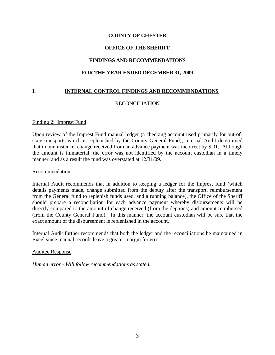# **OFFICE OF THE SHERIFF**

## **FINDINGS AND RECOMMENDATIONS**

## **FOR THE YEAR ENDED DECEMBER 31, 2009**

## **I. INTERNAL CONTROL FINDINGS AND RECOMMENDATIONS**

## RECONCILIATION

## Finding 2: Imprest Fund

Upon review of the Imprest Fund manual ledger (a checking account used primarily for out-ofstate transports which is replenished by the County General Fund), Internal Audit determined that in one instance, change received from an advance payment was incorrect by \$.01. Although the amount is immaterial, the error was not identified by the account custodian in a timely manner, and as a result the fund was overstated at 12/31/09.

#### Recommendation

Internal Audit recommends that in addition to keeping a ledger for the Imprest fund (which details payments made, change submitted from the deputy after the transport, reimbursement from the General fund to replenish funds used, and a running balance), the Office of the Sheriff should prepare a reconciliation for each advance payment whereby disbursements will be directly compared to the amount of change received (from the deputies) and amount reimbursed (from the County General Fund). In this manner, the account custodian will be sure that the exact amount of the disbursement is replenished in the account.

Internal Audit further recommends that both the ledger and the reconciliations be maintained in Excel since manual records leave a greater margin for error.

#### Auditee Response

*Human error - Will follow recommendations as stated.*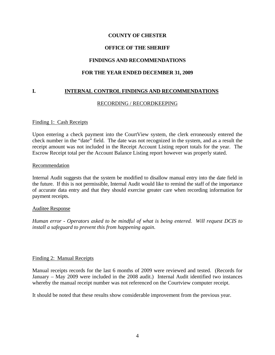## **OFFICE OF THE SHERIFF**

## **FINDINGS AND RECOMMENDATIONS**

## **FOR THE YEAR ENDED DECEMBER 31, 2009**

## **I. INTERNAL CONTROL FINDINGS AND RECOMMENDATIONS**

## RECORDING / RECORDKEEPING

#### Finding 1: Cash Receipts

Upon entering a check payment into the CourtView system, the clerk erroneously entered the check number in the "date" field. The date was not recognized in the system, and as a result the receipt amount was not included in the Receipt Account Listing report totals for the year. The Escrow Receipt total per the Account Balance Listing report however was properly stated.

#### Recommendation

Internal Audit suggests that the system be modified to disallow manual entry into the date field in the future. If this is not permissible, Internal Audit would like to remind the staff of the importance of accurate data entry and that they should exercise greater care when recording information for payment receipts.

#### Auditee Response

*Human error - Operators asked to be mindful of what is being entered. Will request DCIS to install a safeguard to prevent this from happening again.* 

#### Finding 2: Manual Receipts

Manual receipts records for the last 6 months of 2009 were reviewed and tested. (Records for January – May 2009 were included in the 2008 audit.) Internal Audit identified two instances whereby the manual receipt number was not referenced on the Courtview computer receipt.

It should be noted that these results show considerable improvement from the previous year.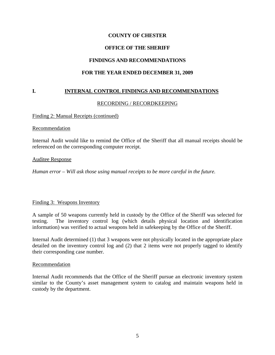# **OFFICE OF THE SHERIFF**

## **FINDINGS AND RECOMMENDATIONS**

## **FOR THE YEAR ENDED DECEMBER 31, 2009**

## **I. INTERNAL CONTROL FINDINGS AND RECOMMENDATIONS**

## RECORDING / RECORDKEEPING

## Finding 2: Manual Receipts (continued)

### Recommendation

Internal Audit would like to remind the Office of the Sheriff that all manual receipts should be referenced on the corresponding computer receipt.

#### Auditee Response

*Human error – Will ask those using manual receipts to be more careful in the future.* 

#### Finding 3: Weapons Inventory

A sample of 50 weapons currently held in custody by the Office of the Sheriff was selected for testing. The inventory control log (which details physical location and identification information) was verified to actual weapons held in safekeeping by the Office of the Sheriff.

Internal Audit determined (1) that 3 weapons were not physically located in the appropriate place detailed on the inventory control log and (2) that 2 items were not properly tagged to identify their corresponding case number.

#### Recommendation

Internal Audit recommends that the Office of the Sheriff pursue an electronic inventory system similar to the County's asset management system to catalog and maintain weapons held in custody by the department.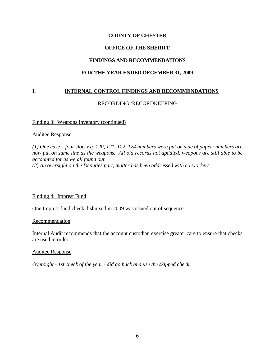# **OFFICE OF THE SHERIFF**

## **FINDINGS AND RECOMMENDATIONS**

## **FOR THE YEAR ENDED DECEMBER 31, 2009**

# **I. INTERNAL CONTROL FINDINGS AND RECOMMENDATIONS**

## RECORDING /RECORDKEEPING

#### Finding 3: Weapons Inventory (continued)

#### Auditee Response

*(1) One case – four slots Eq. 120, 121, 122, 124 numbers were put on side of paper; numbers are now put on same line as the weapons. All old records not updated, weapons are still able to be accounted for as we all found out.* 

*(2) An oversight on the Deputies part, matter has been addressed with co-workers.* 

#### Finding 4: Imprest Fund

One Imprest fund check disbursed in 2009 was issued out of sequence.

#### Recommendation

Internal Audit recommends that the account custodian exercise greater care to ensure that checks are used in order.

#### Auditee Response

*Oversight - 1st check of the year - did go back and use the skipped check.*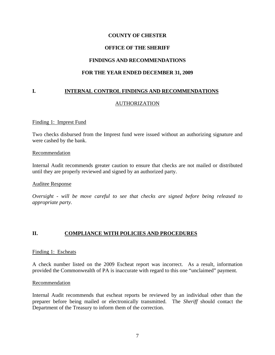# **OFFICE OF THE SHERIFF**

## **FINDINGS AND RECOMMENDATIONS**

## **FOR THE YEAR ENDED DECEMBER 31, 2009**

# **I. INTERNAL CONTROL FINDINGS AND RECOMMENDATIONS**

## AUTHORIZATION

## Finding 1: Imprest Fund

Two checks disbursed from the Imprest fund were issued without an authorizing signature and were cashed by the bank.

## Recommendation

Internal Audit recommends greater caution to ensure that checks are not mailed or distributed until they are properly reviewed and signed by an authorized party.

## Auditee Response

*Oversight - will be move careful to see that checks are signed before being released to appropriate party.* 

## **II. COMPLIANCE WITH POLICIES AND PROCEDURES**

#### Finding 1: Escheats

A check number listed on the 2009 Escheat report was incorrect. As a result, information provided the Commonwealth of PA is inaccurate with regard to this one "unclaimed" payment.

#### Recommendation

Internal Audit recommends that escheat reports be reviewed by an individual other than the preparer before being mailed or electronically transmitted. The *Sheriff* should contact the Department of the Treasury to inform them of the correction.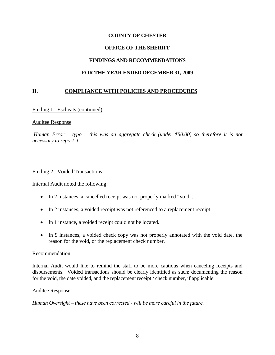## **OFFICE OF THE SHERIFF**

## **FINDINGS AND RECOMMENDATIONS**

## **FOR THE YEAR ENDED DECEMBER 31, 2009**

## **II. COMPLIANCE WITH POLICIES AND PROCEDURES**

## Finding 1: Escheats (continued)

## Auditee Response

 *Human Error – typo – this was an aggregate check (under \$50.00) so therefore it is not necessary to report it.* 

## Finding 2: Voided Transactions

Internal Audit noted the following:

- In 2 instances, a cancelled receipt was not properly marked "void".
- In 2 instances, a voided receipt was not referenced to a replacement receipt.
- In 1 instance, a voided receipt could not be located.
- In 9 instances, a voided check copy was not properly annotated with the void date, the reason for the void, or the replacement check number.

#### Recommendation

Internal Audit would like to remind the staff to be more cautious when canceling receipts and disbursements. Voided transactions should be clearly identified as such; documenting the reason for the void, the date voided, and the replacement receipt / check number, if applicable.

#### Auditee Response

*Human Oversight – these have been corrected - will be more careful in the future.*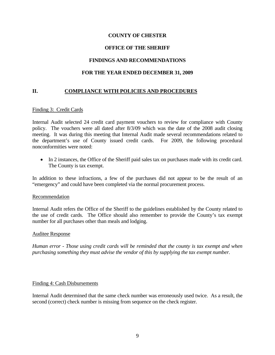# **OFFICE OF THE SHERIFF**

# **FINDINGS AND RECOMMENDATIONS**

## **FOR THE YEAR ENDED DECEMBER 31, 2009**

## **II. COMPLIANCE WITH POLICIES AND PROCEDURES**

## Finding 3: Credit Cards

Internal Audit selected 24 credit card payment vouchers to review for compliance with County policy. The vouchers were all dated after 8/3/09 which was the date of the 2008 audit closing meeting. It was during this meeting that Internal Audit made several recommendations related to the department's use of County issued credit cards. For 2009, the following procedural nonconformities were noted:

 In 2 instances, the Office of the Sheriff paid sales tax on purchases made with its credit card. The County is tax exempt.

In addition to these infractions, a few of the purchases did not appear to be the result of an "emergency" and could have been completed via the normal procurement process.

#### Recommendation

Internal Audit refers the Office of the Sheriff to the guidelines established by the County related to the use of credit cards. The Office should also remember to provide the County's tax exempt number for all purchases other than meals and lodging.

#### Auditee Response

*Human error - Those using credit cards will be reminded that the county is tax exempt and when purchasing something they must advise the vendor of this by supplying the tax exempt number.* 

#### Finding 4: Cash Disbursements

Internal Audit determined that the same check number was erroneously used twice. As a result, the second (correct) check number is missing from sequence on the check register.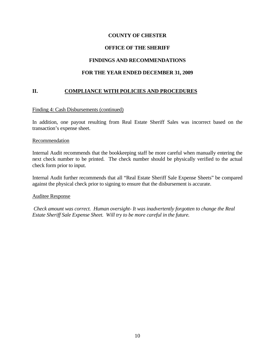# **OFFICE OF THE SHERIFF**

## **FINDINGS AND RECOMMENDATIONS**

## **FOR THE YEAR ENDED DECEMBER 31, 2009**

## **II. COMPLIANCE WITH POLICIES AND PROCEDURES**

## Finding 4: Cash Disbursements (continued)

In addition, one payout resulting from Real Estate Sheriff Sales was incorrect based on the transaction's expense sheet.

#### Recommendation

Internal Audit recommends that the bookkeeping staff be more careful when manually entering the next check number to be printed. The check number should be physically verified to the actual check form prior to input.

Internal Audit further recommends that all "Real Estate Sheriff Sale Expense Sheets" be compared against the physical check prior to signing to ensure that the disbursement is accurate.

#### Auditee Response

 *Check amount was correct. Human oversight- It was inadvertently forgotten to change the Real Estate Sheriff Sale Expense Sheet. Will try to be more careful in the future.*